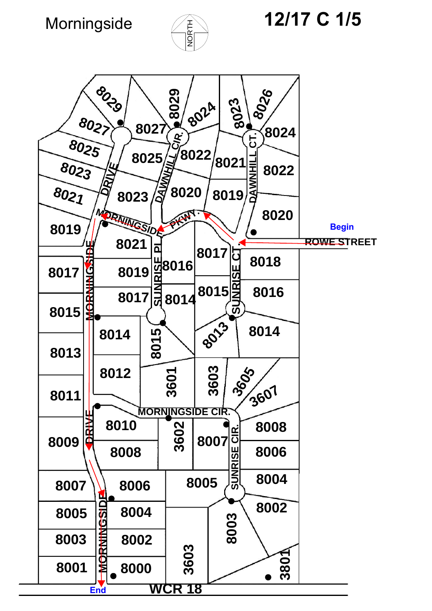### Morningside



## **12/17 C 1/5**

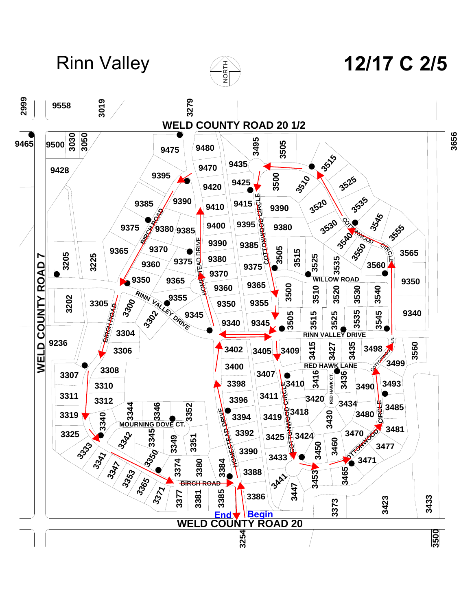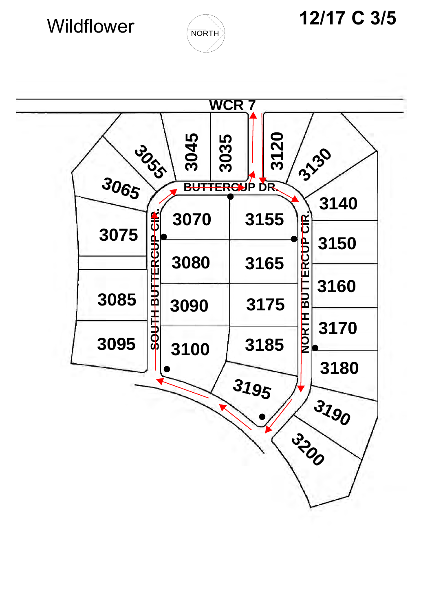Wildflower



## **12/17 C 3/5**

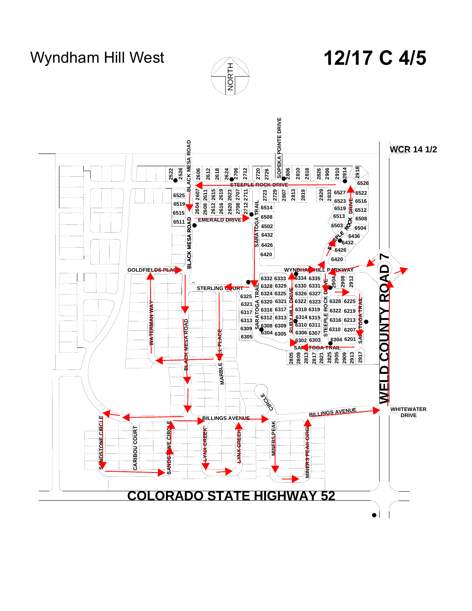### Wyndham Hill West

# NORTH

# **12/17 C 4/5**

![](_page_3_Figure_3.jpeg)